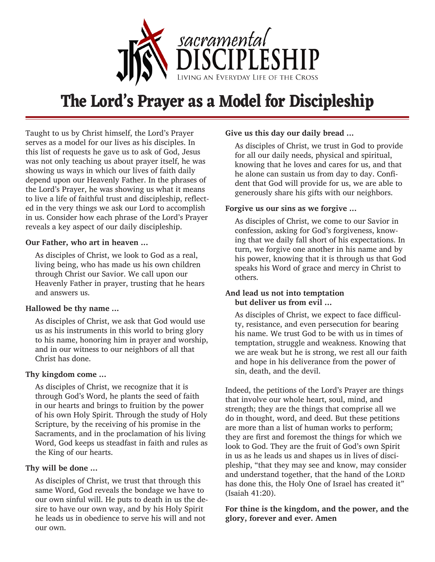

# **The Lord's Prayer as a Model for Discipleship**

Taught to us by Christ himself, the Lord's Prayer serves as a model for our lives as his disciples. In this list of requests he gave us to ask of God, Jesus was not only teaching us about prayer itself, he was showing us ways in which our lives of faith daily depend upon our Heavenly Father. In the phrases of the Lord's Prayer, he was showing us what it means to live a life of faithful trust and discipleship, reflected in the very things we ask our Lord to accomplish in us. Consider how each phrase of the Lord's Prayer reveals a key aspect of our daily discipleship.

#### **Our Father, who art in heaven ...**

As disciples of Christ, we look to God as a real, living being, who has made us his own children through Christ our Savior. We call upon our Heavenly Father in prayer, trusting that he hears and answers us.

## **Hallowed be thy name ...**

As disciples of Christ, we ask that God would use us as his instruments in this world to bring glory to his name, honoring him in prayer and worship, and in our witness to our neighbors of all that Christ has done.

## **Thy kingdom come ...**

As disciples of Christ, we recognize that it is through God's Word, he plants the seed of faith in our hearts and brings to fruition by the power of his own Holy Spirit. Through the study of Holy Scripture, by the receiving of his promise in the Sacraments, and in the proclamation of his living Word, God keeps us steadfast in faith and rules as the King of our hearts.

## **Thy will be done ...**

As disciples of Christ, we trust that through this same Word, God reveals the bondage we have to our own sinful will. He puts to death in us the desire to have our own way, and by his Holy Spirit he leads us in obedience to serve his will and not our own.

## **Give us this day our daily bread ...**

As disciples of Christ, we trust in God to provide for all our daily needs, physical and spiritual, knowing that he loves and cares for us, and that he alone can sustain us from day to day. Confident that God will provide for us, we are able to generously share his gifts with our neighbors.

## **Forgive us our sins as we forgive ...**

As disciples of Christ, we come to our Savior in confession, asking for God's forgiveness, knowing that we daily fall short of his expectations. In turn, we forgive one another in his name and by his power, knowing that it is through us that God speaks his Word of grace and mercy in Christ to others.

#### **And lead us not into temptation but deliver us from evil ...**

As disciples of Christ, we expect to face difficulty, resistance, and even persecution for bearing his name. We trust God to be with us in times of temptation, struggle and weakness. Knowing that we are weak but he is strong, we rest all our faith and hope in his deliverance from the power of sin, death, and the devil.

Indeed, the petitions of the Lord's Prayer are things that involve our whole heart, soul, mind, and strength; they are the things that comprise all we do in thought, word, and deed. But these petitions are more than a list of human works to perform; they are first and foremost the things for which we look to God. They are the fruit of God's own Spirit in us as he leads us and shapes us in lives of discipleship, "that they may see and know, may consider and understand together, that the hand of the LORD has done this, the Holy One of Israel has created it" (Isaiah 41:20).

## **For thine is the kingdom, and the power, and the glory, forever and ever. Amen**